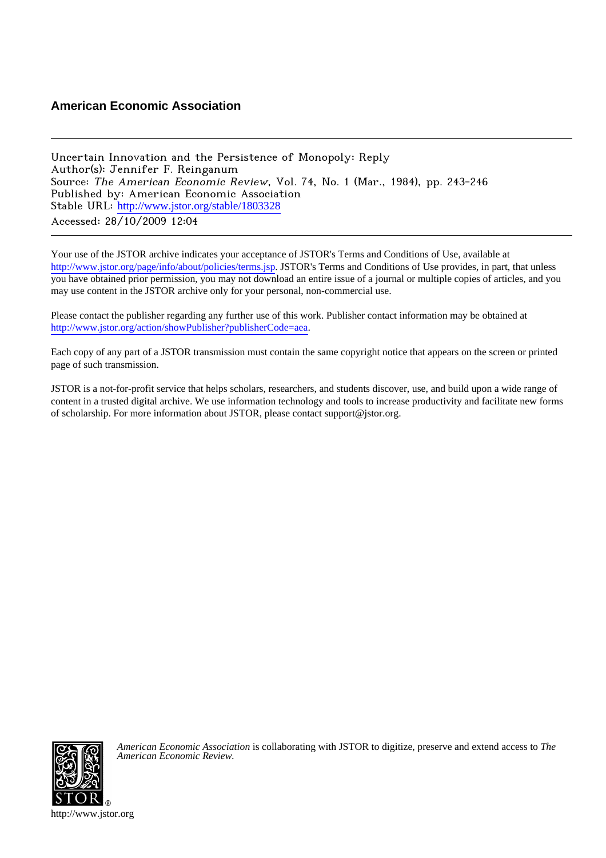## **American Economic Association**

Uncertain Innovation and the Persistence of Monopoly: Reply Author(s): Jennifer F. Reinganum Source: The American Economic Review, Vol. 74, No. 1 (Mar., 1984), pp. 243-246 Published by: American Economic Association Stable URL: [http://www.jstor.org/stable/1803328](http://www.jstor.org/stable/1803328?origin=JSTOR-pdf) Accessed: 28/10/2009 12:04

Your use of the JSTOR archive indicates your acceptance of JSTOR's Terms and Conditions of Use, available at <http://www.jstor.org/page/info/about/policies/terms.jsp>. JSTOR's Terms and Conditions of Use provides, in part, that unless you have obtained prior permission, you may not download an entire issue of a journal or multiple copies of articles, and you may use content in the JSTOR archive only for your personal, non-commercial use.

Please contact the publisher regarding any further use of this work. Publisher contact information may be obtained at <http://www.jstor.org/action/showPublisher?publisherCode=aea>.

Each copy of any part of a JSTOR transmission must contain the same copyright notice that appears on the screen or printed page of such transmission.

JSTOR is a not-for-profit service that helps scholars, researchers, and students discover, use, and build upon a wide range of content in a trusted digital archive. We use information technology and tools to increase productivity and facilitate new forms of scholarship. For more information about JSTOR, please contact support@jstor.org.



*American Economic Association* is collaborating with JSTOR to digitize, preserve and extend access to *The American Economic Review.*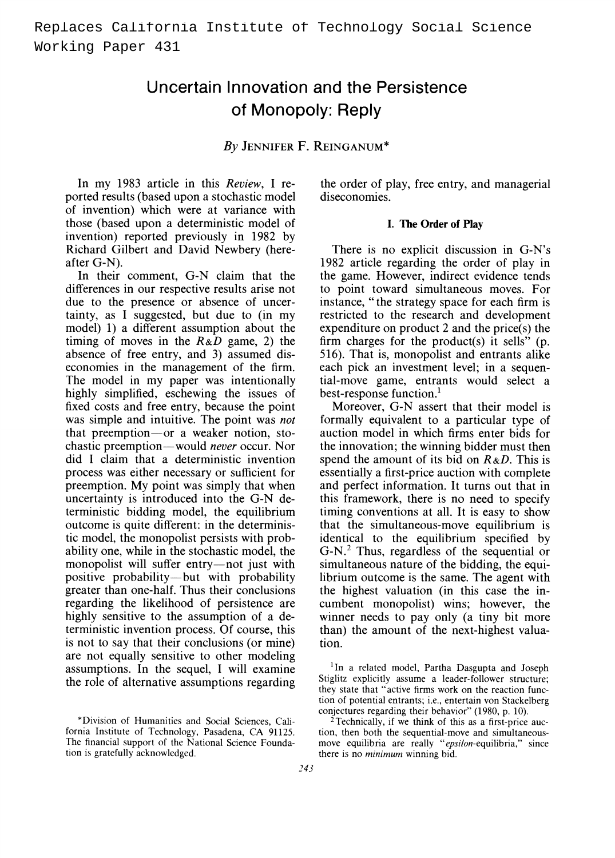# **Uncertain Innovation and the Persistence of Monopoly: Reply**

**By JENNIFER F. REINGANUM\*** 

**In my 1983 article in this Review, I reported results (based upon a stochastic model of invention) which were at variance with those (based upon a deterministic model of invention) reported previously in 1982 by Richard Gilbert and David Newbery (hereafter G-N).** 

**In their comment, G-N claim that the differences in our respective results arise not due to the presence or absence of uncertainty, as I suggested, but due to (in my model) 1) a different assumption about the timing of moves in the R&D game, 2) the absence of free entry, and 3) assumed diseconomies in the management of the firm. The model in my paper was intentionally highly simplified, eschewing the issues of fixed costs and free entry, because the point was simple and intuitive. The point was not that preemption-or a weaker notion, stochastic preemption-would never occur. Nor did I claim that a deterministic invention process was either necessary or sufficient for preemption. My point was simply that when uncertainty is introduced into the G-N deterministic bidding model, the equilibrium outcome is quite different: in the deterministic model, the monopolist persists with probability one, while in the stochastic model, the**  monopolist will suffer entry-not just with **positive probability-but with probability greater than one-half. Thus their conclusions regarding the likelihood of persistence are highly sensitive to the assumption of a deterministic invention process. Of course, this is not to say that their conclusions (or mine) are not equally sensitive to other modeling assumptions. In the sequel, I will examine the role of alternative assumptions regarding** 

**\*Division of Humanities and Social Sciences, California Institute of Technology, Pasadena, CA 91125. The financial support of the National Science Foundation is gratefully acknowledged.** 

**the order of play, free entry, and managerial diseconomies.** 

#### **I. The Order of Play**

**There is no explicit discussion in G-N's 1982 article regarding the order of play in the game. However, indirect evidence tends to point toward simultaneous moves. For instance, " the strategy space for each firm is restricted to the research and development expenditure on product 2 and the price(s) the firm charges for the product(s) it sells" (p. 516). That is, monopolist and entrants alike each pick an investment level; in a sequential-move game, entrants would select a best-response function.1** 

**Moreover, G-N assert that their model is formally equivalent to a particular type of auction model in which firms enter bids for the innovation; the winning bidder must then spend the amount of its bid on R&D. This is essentially a first-price auction with complete and perfect information. It turns out that in this framework, there is no need to specify timing conventions at all. It is easy to show that the simultaneous-move equilibrium is identical to the equilibrium specified by G-N.2 Thus, regardless of the sequential or simultaneous nature of the bidding, the equilibrium outcome is the same. The agent with the highest valuation (in this case the incumbent monopolist) wins; however, the winner needs to pay only (a tiny bit more than) the amount of the next-highest valuation.** 

**'In a related model, Partha Dasgupta and Joseph Stiglitz explicitly assume a leader-follower structure; they state that "active firms work on the reaction function of potential entrants; i.e., entertain von Stackelberg conjectures regarding their behavior" (1980, p. 10).** 

**2Technically, if we think of this as a first-price auction, then both the sequential-move and simultaneousmove equilibria are really "epsilon-equilibria," since there is no minimum winning bid.**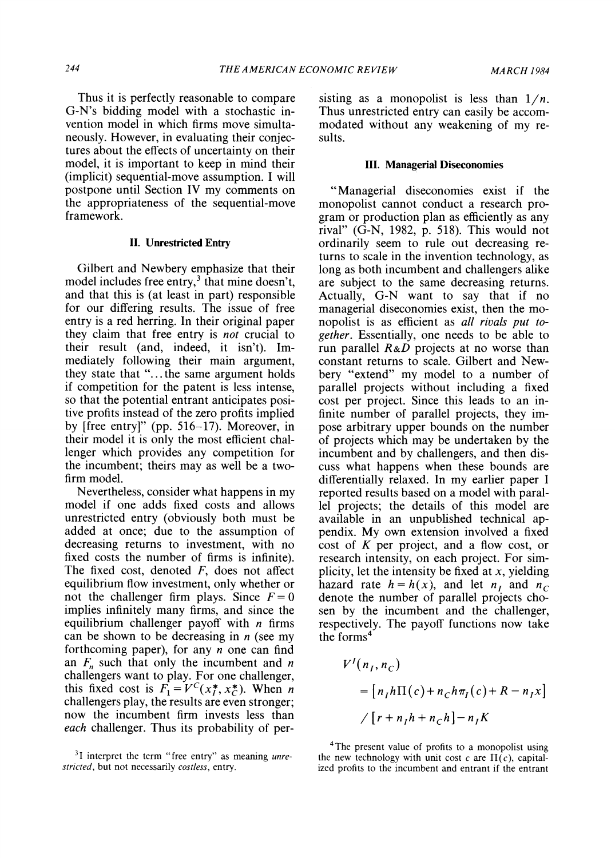**Thus it is perfectly reasonable to compare G-N's bidding model with a stochastic invention model in which firms move simultaneously. However, in evaluating their conjectures about the effects of uncertainty on their model, it is important to keep in mind their (implicit) sequential-move assumption. I will postpone until Section IV my comments on the appropriateness of the sequential-move framework.** 

#### **II. Unrestricted Entry**

**Gilbert and Newbery emphasize that their**  model includes free entry,<sup>3</sup> that mine doesn't, **and that this is (at least in part) responsible for our differing results. The issue of free entry is a red herring. In their original paper they claim that free entry is not crucial to their result (and, indeed, it isn't). Immediately following their main argument, they state that ".... the same argument holds if competition for the patent is less intense, so that the potential entrant anticipates positive profits instead of the zero profits implied by [free entry]" (pp. 516-17). Moreover, in their model it is only the most efficient challenger which provides any competition for the incumbent; theirs may as well be a twofirm model.** 

**Nevertheless, consider what happens in my model if one adds fixed costs and allows unrestricted entry (obviously both must be added at once; due to the assumption of decreasing returns to investment, with no fixed costs the number of firms is infinite). The fixed cost, denoted F, does not affect equilibrium flow investment, only whether or**  not the challenger firm plays. Since  $F = 0$ **implies infinitely many firms, and since the equilibrium challenger payoff with n firms can be shown to be decreasing in n (see my forthcoming paper), for any n one can find**  an  $F_n$  such that only the incumbent and *n* **challengers want to play. For one challenger,**  this fixed cost is  $F_1 = V^C(x_1^*, x_2^*)$ . When *n* **challengers play, the results are even stronger; now the incumbent firm invests less than each challenger. Thus its probability of per-** sisting as a monopolist is less than  $1/n$ . **Thus unrestricted entry can easily be accommodated without any weakening of my results.** 

#### **III. Managerial Diseconomies**

**"Managerial diseconomies exist if the monopolist cannot conduct a research program or production plan as efficiently as any rival" (G-N, 1982, p. 518). This would not ordinarily seem to rule out decreasing returns to scale in the invention technology, as long as both incumbent and challengers alike are subject to the same decreasing returns. Actually, G-N want to say that if no managerial diseconomies exist, then the monopolist is as efficient as all rivals put together. Essentially, one needs to be able to run parallel R&D projects at no worse than constant returns to scale. Gilbert and Newbery "extend" my model to a number of parallel projects without including a fixed cost per project. Since this leads to an infinite number of parallel projects, they impose arbitrary upper bounds on the number of projects which may be undertaken by the incumbent and by challengers, and then discuss what happens when these bounds are differentially relaxed. In my earlier paper I reported results based on a model with parallel projects; the details of this model are available in an unpublished technical appendix. My own extension involved a fixed cost of K per project, and a flow cost, or research intensity, on each project. For simplicity, let the intensity be fixed at x, yielding**  hazard rate  $h = h(x)$ , and let  $n<sub>I</sub>$  and  $n<sub>C</sub>$ **denote the number of parallel projects chosen by the incumbent and the challenger, respectively. The payoff functions now take the forms4** 

$$
V^{I}(n_{I}, n_{C})
$$
  
= 
$$
[n_{I}h\Pi(c) + n_{C}h\pi_{I}(c) + R - n_{I}x]
$$
  

$$
\angle[r + n_{I}h + n_{C}h] - n_{I}K
$$

**'The present value of profits to a monopolist using**  the new technology with unit cost c are  $\Pi(c)$ , capital**ized profits to the incumbent and entrant if the entrant** 

**<sup>3</sup>I interpret the term "free entry" as meaning unrestricted, but not necessarily costless, entry.**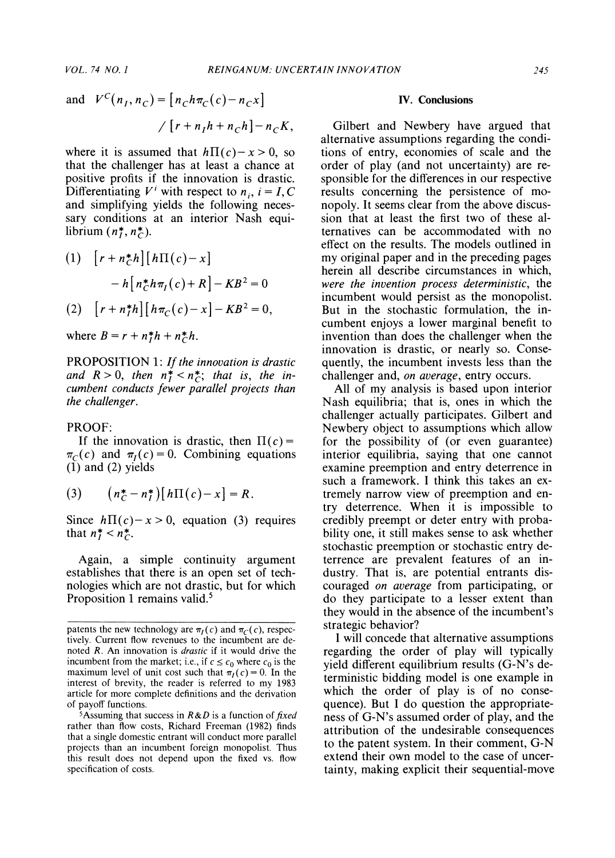and 
$$
V^C(n_I, n_C) = [n_C h \pi_C(c) - n_C x]
$$
  
\n
$$
/[r + n_I h + n_C h] - n_C K,
$$

where it is assumed that  $h\Pi(c)-x>0$ , so **that the challenger has at least a chance at positive profits if the innovation is drastic.**  Differentiating  $V^i$  with respect to  $n_i$ ,  $i = I, C$ **and simplifying yields the following necessary conditions at an interior Nash equi**librium  $(n_l^*, n_c^*)$ .

(1) 
$$
\[ r + n_{C}^{*}h \] [ h\Pi(c) - x ]
$$

$$
- h \Big[ n_{C}^{*}h\pi_{I}(c) + R \Big] - KB^{2} = 0
$$

$$
(2) \quad [ r + n_{I}^{*}h] [ h\pi_{C}(c) - x] - KB^{2} = 0,
$$

where  $B = r + n_h^*h + n_c^*h$ .

**PROPOSITION 1: If the innovation is drastic**  and  $R > 0$ , then  $n_I^* < n_C^*$ ; that is, the in**cumbent conducts fewer parallel projects than the challenger.** 

#### **PROOF:**

If the innovation is drastic, then  $\Pi(c)$  =  $\pi_c(c)$  and  $\pi_l(c) = 0$ . Combining equations **(1) and (2) yields** 

(3) 
$$
(n_C^* - n_I^*)[h\Pi(c) - x] = R.
$$

Since  $h\Pi(c)-x>0$ , equation (3) requires that  $n^* = n^*$ .

**Again, a simple continuity argument establishes that there is an open set of technologies which are not drastic, but for which Proposition 1 remains valid.5** 

#### **IV. Conclusions**

**Gilbert and Newbery have argued that alternative assumptions regarding the conditions of entry, economies of scale and the order of play (and not uncertainty) are responsible for the differences in our respective results concerning the persistence of monopoly. It seems clear from the above discussion that at least the first two of these alternatives can be accommodated with no effect on the results. The models outlined in my original paper and in the preceding pages herein all describe circumstances in which, were the invention process deterministic, the incumbent would persist as the monopolist. But in the stochastic formulation, the incumbent enjoys a lower marginal benefit to invention than does the challenger when the innovation is drastic, or nearly so. Consequently, the incumbent invests less than the challenger and, on average, entry occurs.** 

**All of my analysis is based upon interior Nash equilibria; that is, ones in which the challenger actually participates. Gilbert and Newbery object to assumptions which allow for the possibility of (or even guarantee) interior equilibria, saying that one cannot examine preemption and entry deterrence in such a framework. I think this takes an extremely narrow view of preemption and entry deterrence. When it is impossible to credibly preempt or deter entry with probability one, it still makes sense to ask whether stochastic preemption or stochastic entry deterrence are prevalent features of an industry. That is, are potential entrants discouraged on average from participating, or do they participate to a lesser extent than they would in the absence of the incumbent's strategic behavior?** 

**I will concede that alternative assumptions regarding the order of play will typically yield different equilibrium results (G-N's deterministic bidding model is one example in which the order of play is of no consequence). But I do question the appropriateness of G-N's assumed order of play, and the attribution of the undesirable consequences to the patent system. In their comment, G-N extend their own model to the case of uncertainty, making explicit their sequential-move** 

**patents the new technology are**  $\pi_l(c)$  **and**  $\pi_c(c)$ **, respectively. Current flow revenues to the incumbent are denoted R. An innovation is drastic if it would drive the**  incumbent from the market; i.e., if  $c \le c_0$  where  $c_0$  is the maximum level of unit cost such that  $\pi_I(c) = 0$ . In the **interest of brevity, the reader is referred to my 1983 article for more complete definitions and the derivation of payoff functions.** 

**<sup>5</sup>Assuming that success in R&D is a function of fixed rather than flow costs, Richard Freeman (1982) finds that a single domestic entrant will conduct more parallel projects than an incumbent foreign monopolist. Thus this result does not depend upon the fixed vs. flow specification of costs.**